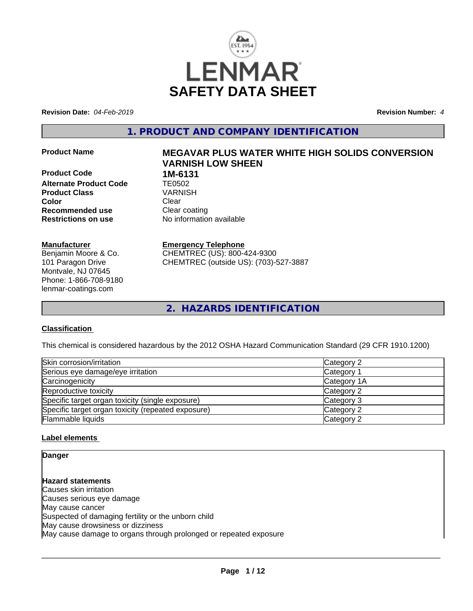

**Revision Date:** *04-Feb-2019* **Revision Number:** *4*

**1. PRODUCT AND COMPANY IDENTIFICATION**

**Product Code 1M-6131**<br>**Alternate Product Code 11 TE0502 Alternate Product Code TE0502**<br>**Product Class** VARNISH **Product Class Color** Clear Clear **Recommended use** Clear coating **Restrictions on use** No information available

#### **Manufacturer**

Benjamin Moore & Co. 101 Paragon Drive Montvale, NJ 07645 Phone: 1-866-708-9180 lenmar-coatings.com

# **Product Name MEGAVAR PLUS WATER WHITE HIGH SOLIDS CONVERSION VARNISH LOW SHEEN**

**Emergency Telephone** CHEMTREC (US): 800-424-9300 CHEMTREC (outside US): (703)-527-3887

**2. HAZARDS IDENTIFICATION**

## **Classification**

This chemical is considered hazardous by the 2012 OSHA Hazard Communication Standard (29 CFR 1910.1200)

| Skin corrosion/irritation                          | Category 2            |  |
|----------------------------------------------------|-----------------------|--|
| Serious eye damage/eye irritation                  | Category <sup>2</sup> |  |
| Carcinogenicity                                    | Category 1A           |  |
| Reproductive toxicity                              | Category 2            |  |
| Specific target organ toxicity (single exposure)   | Category 3            |  |
| Specific target organ toxicity (repeated exposure) | Category 2            |  |
| Flammable liquids                                  | Category 2            |  |

## **Label elements**

**Danger**

**Hazard statements** Causes skin irritation Causes serious eye damage May cause cancer Suspected of damaging fertility or the unborn child May cause drowsiness or dizziness May cause damage to organs through prolonged or repeated exposure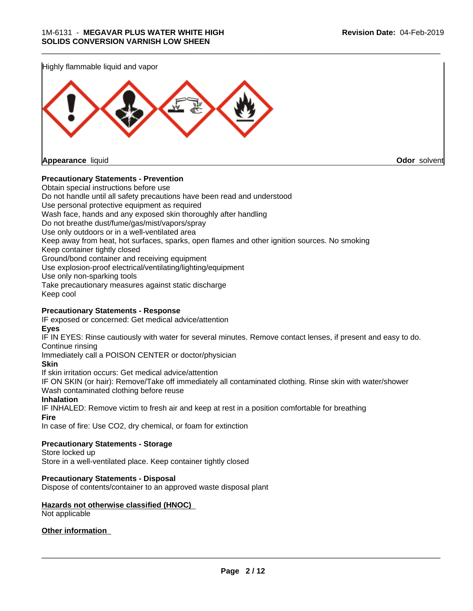

#### **Precautionary Statements - Prevention**

Obtain special instructions before use Do not handle until all safety precautions have been read and understood Use personal protective equipment as required Wash face, hands and any exposed skin thoroughly after handling Do not breathe dust/fume/gas/mist/vapors/spray Use only outdoors or in a well-ventilated area Keep away from heat, hot surfaces, sparks, open flames and other ignition sources. No smoking Keep container tightly closed Ground/bond container and receiving equipment Use explosion-proof electrical/ventilating/lighting/equipment Use only non-sparking tools Take precautionary measures against static discharge Keep cool **Precautionary Statements - Response**

IF exposed or concerned: Get medical advice/attention

## **Eyes**

IF IN EYES: Rinse cautiously with water forseveral minutes. Remove contact lenses, if present and easy to do. Continue rinsing

\_\_\_\_\_\_\_\_\_\_\_\_\_\_\_\_\_\_\_\_\_\_\_\_\_\_\_\_\_\_\_\_\_\_\_\_\_\_\_\_\_\_\_\_\_\_\_\_\_\_\_\_\_\_\_\_\_\_\_\_\_\_\_\_\_\_\_\_\_\_\_\_\_\_\_\_\_\_\_\_\_\_\_\_\_\_\_\_\_\_\_\_\_

Immediately call a POISON CENTER or doctor/physician

#### **Skin**

If skin irritation occurs: Get medical advice/attention

IF ON SKIN (or hair): Remove/Take off immediately all contaminated clothing. Rinse skin with water/shower Wash contaminated clothing before reuse

#### **Inhalation**

IF INHALED: Remove victim to fresh air and keep at rest in a position comfortable for breathing

#### **Fire**

In case of fire: Use CO2, dry chemical, or foam for extinction

# **Precautionary Statements - Storage**

Store locked up

Store in a well-ventilated place. Keep container tightly closed

## **Precautionary Statements - Disposal**

Dispose of contents/container to an approved waste disposal plant

#### **Hazards not otherwise classified (HNOC)** Not applicable

**Other information**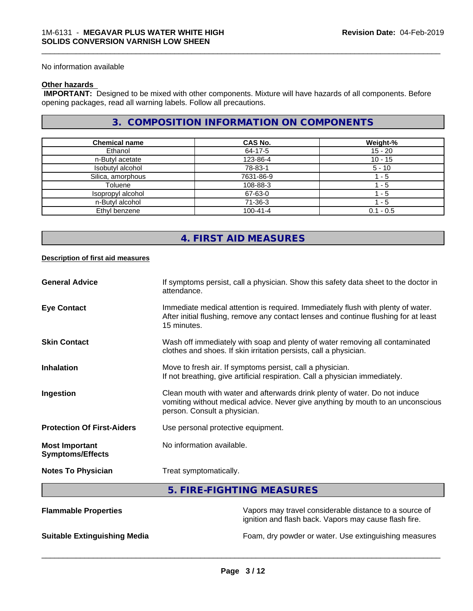No information available

#### **Other hazards**

 **IMPORTANT:** Designed to be mixed with other components. Mixture will have hazards of all components. Before opening packages, read all warning labels. Follow all precautions.

# **3. COMPOSITION INFORMATION ON COMPONENTS**

\_\_\_\_\_\_\_\_\_\_\_\_\_\_\_\_\_\_\_\_\_\_\_\_\_\_\_\_\_\_\_\_\_\_\_\_\_\_\_\_\_\_\_\_\_\_\_\_\_\_\_\_\_\_\_\_\_\_\_\_\_\_\_\_\_\_\_\_\_\_\_\_\_\_\_\_\_\_\_\_\_\_\_\_\_\_\_\_\_\_\_\_\_

| <b>Chemical name</b> | <b>CAS No.</b> | Weight-%    |
|----------------------|----------------|-------------|
| Ethanol              | 64-17-5        | $15 - 20$   |
| n-Butyl acetate      | 123-86-4       | $10 - 15$   |
| Isobutyl alcohol     | 78-83-1        | $5 - 10$    |
| Silica, amorphous    | 7631-86-9      | - 5         |
| Toluene              | 108-88-3       | - 5         |
| Isopropyl alcohol    | 67-63-0        | l - 5       |
| n-Butyl alcohol      | 71-36-3        | $1 - 5$     |
| Ethyl benzene        | $100 - 41 - 4$ | $0.1 - 0.5$ |

# **4. FIRST AID MEASURES**

#### **Description of first aid measures**

| <b>General Advice</b>                            | If symptoms persist, call a physician. Show this safety data sheet to the doctor in<br>attendance.                                                                                            |
|--------------------------------------------------|-----------------------------------------------------------------------------------------------------------------------------------------------------------------------------------------------|
| <b>Eye Contact</b>                               | Immediate medical attention is required. Immediately flush with plenty of water.<br>After initial flushing, remove any contact lenses and continue flushing for at least<br>15 minutes.       |
| <b>Skin Contact</b>                              | Wash off immediately with soap and plenty of water removing all contaminated<br>clothes and shoes. If skin irritation persists, call a physician.                                             |
| <b>Inhalation</b>                                | Move to fresh air. If symptoms persist, call a physician.<br>If not breathing, give artificial respiration. Call a physician immediately.                                                     |
| Ingestion                                        | Clean mouth with water and afterwards drink plenty of water. Do not induce<br>vomiting without medical advice. Never give anything by mouth to an unconscious<br>person. Consult a physician. |
| <b>Protection Of First-Aiders</b>                | Use personal protective equipment.                                                                                                                                                            |
| <b>Most Important</b><br><b>Symptoms/Effects</b> | No information available.                                                                                                                                                                     |
| <b>Notes To Physician</b>                        | Treat symptomatically.                                                                                                                                                                        |
|                                                  | <b>FIRE FIQUEINA MEMOURES</b>                                                                                                                                                                 |

## **5. FIRE-FIGHTING MEASURES**

| <b>Flammable Properties</b>         | Vapors may travel considerable distance to a source of<br>ignition and flash back. Vapors may cause flash fire. |
|-------------------------------------|-----------------------------------------------------------------------------------------------------------------|
| <b>Suitable Extinguishing Media</b> | Foam, dry powder or water. Use extinguishing measures                                                           |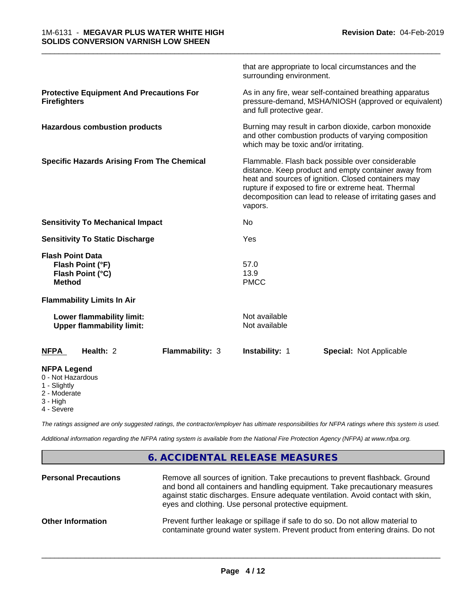|                                                                                     | that are appropriate to local circumstances and the<br>surrounding environment.                                                                                                                                                                                                                |
|-------------------------------------------------------------------------------------|------------------------------------------------------------------------------------------------------------------------------------------------------------------------------------------------------------------------------------------------------------------------------------------------|
| <b>Protective Equipment And Precautions For</b><br><b>Firefighters</b>              | As in any fire, wear self-contained breathing apparatus<br>pressure-demand, MSHA/NIOSH (approved or equivalent)<br>and full protective gear.                                                                                                                                                   |
| <b>Hazardous combustion products</b>                                                | Burning may result in carbon dioxide, carbon monoxide<br>and other combustion products of varying composition<br>which may be toxic and/or irritating.                                                                                                                                         |
| <b>Specific Hazards Arising From The Chemical</b>                                   | Flammable. Flash back possible over considerable<br>distance. Keep product and empty container away from<br>heat and sources of ignition. Closed containers may<br>rupture if exposed to fire or extreme heat. Thermal<br>decomposition can lead to release of irritating gases and<br>vapors. |
| <b>Sensitivity To Mechanical Impact</b>                                             | No                                                                                                                                                                                                                                                                                             |
| <b>Sensitivity To Static Discharge</b>                                              | Yes                                                                                                                                                                                                                                                                                            |
| <b>Flash Point Data</b><br>Flash Point (°F)<br>Flash Point (°C)<br><b>Method</b>    | 57.0<br>13.9<br><b>PMCC</b>                                                                                                                                                                                                                                                                    |
| <b>Flammability Limits In Air</b>                                                   |                                                                                                                                                                                                                                                                                                |
| Lower flammability limit:<br><b>Upper flammability limit:</b>                       | Not available<br>Not available                                                                                                                                                                                                                                                                 |
| Health: 2<br>Flammability: 3<br><b>NFPA</b>                                         | Instability: 1<br><b>Special: Not Applicable</b>                                                                                                                                                                                                                                               |
| <b>NFPA Legend</b><br>0 - Not Hazardous<br>1 - Slightly<br>2 - Moderate<br>3 - High |                                                                                                                                                                                                                                                                                                |

4 - Severe

*The ratings assigned are only suggested ratings, the contractor/employer has ultimate responsibilities for NFPA ratings where this system is used.*

*Additional information regarding the NFPA rating system is available from the National Fire Protection Agency (NFPA) at www.nfpa.org.*

# **6. ACCIDENTAL RELEASE MEASURES**

| <b>Personal Precautions</b> | Remove all sources of ignition. Take precautions to prevent flashback. Ground<br>and bond all containers and handling equipment. Take precautionary measures<br>against static discharges. Ensure adequate ventilation. Avoid contact with skin,<br>eyes and clothing. Use personal protective equipment. |
|-----------------------------|-----------------------------------------------------------------------------------------------------------------------------------------------------------------------------------------------------------------------------------------------------------------------------------------------------------|
| <b>Other Information</b>    | Prevent further leakage or spillage if safe to do so. Do not allow material to<br>contaminate ground water system. Prevent product from entering drains. Do not                                                                                                                                           |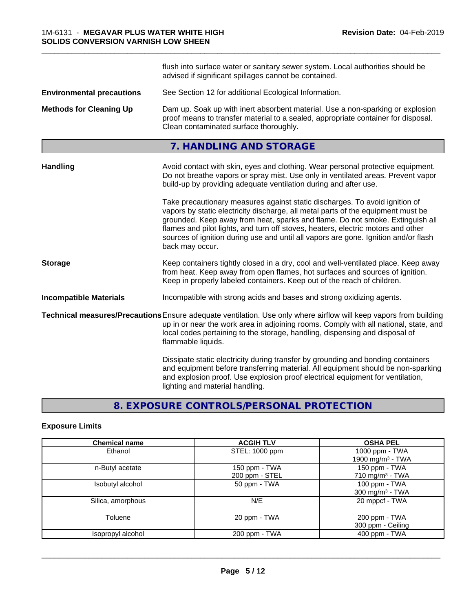|                                  | flush into surface water or sanitary sewer system. Local authorities should be<br>advised if significant spillages cannot be contained.                                                                                                                                                                                                                                                                                                        |
|----------------------------------|------------------------------------------------------------------------------------------------------------------------------------------------------------------------------------------------------------------------------------------------------------------------------------------------------------------------------------------------------------------------------------------------------------------------------------------------|
| <b>Environmental precautions</b> | See Section 12 for additional Ecological Information.                                                                                                                                                                                                                                                                                                                                                                                          |
| <b>Methods for Cleaning Up</b>   | Dam up. Soak up with inert absorbent material. Use a non-sparking or explosion<br>proof means to transfer material to a sealed, appropriate container for disposal.<br>Clean contaminated surface thoroughly.                                                                                                                                                                                                                                  |
|                                  | 7. HANDLING AND STORAGE                                                                                                                                                                                                                                                                                                                                                                                                                        |
| <b>Handling</b>                  | Avoid contact with skin, eyes and clothing. Wear personal protective equipment.<br>Do not breathe vapors or spray mist. Use only in ventilated areas. Prevent vapor<br>build-up by providing adequate ventilation during and after use.                                                                                                                                                                                                        |
|                                  | Take precautionary measures against static discharges. To avoid ignition of<br>vapors by static electricity discharge, all metal parts of the equipment must be<br>grounded. Keep away from heat, sparks and flame. Do not smoke. Extinguish all<br>flames and pilot lights, and turn off stoves, heaters, electric motors and other<br>sources of ignition during use and until all vapors are gone. Ignition and/or flash<br>back may occur. |
| <b>Storage</b>                   | Keep containers tightly closed in a dry, cool and well-ventilated place. Keep away<br>from heat. Keep away from open flames, hot surfaces and sources of ignition.<br>Keep in properly labeled containers. Keep out of the reach of children.                                                                                                                                                                                                  |
| <b>Incompatible Materials</b>    | Incompatible with strong acids and bases and strong oxidizing agents.                                                                                                                                                                                                                                                                                                                                                                          |
|                                  | Technical measures/Precautions Ensure adequate ventilation. Use only where airflow will keep vapors from building<br>up in or near the work area in adjoining rooms. Comply with all national, state, and<br>local codes pertaining to the storage, handling, dispensing and disposal of<br>flammable liquids.                                                                                                                                 |
|                                  | Dissipate static electricity during transfer by grounding and bonding containers<br>and equipment before transferring material. All equipment should be non-sparking<br>and explosion proof. Use explosion proof electrical equipment for ventilation,<br>lighting and material handling.                                                                                                                                                      |

# **8. EXPOSURE CONTROLS/PERSONAL PROTECTION**

# **Exposure Limits**

| <b>Chemical name</b> | <b>ACGIH TLV</b> | <b>OSHA PEL</b>             |
|----------------------|------------------|-----------------------------|
| Ethanol              | STEL: 1000 ppm   | 1000 ppm - TWA              |
|                      |                  | 1900 mg/m $3$ - TWA         |
| n-Butyl acetate      | 150 ppm - TWA    | 150 ppm - TWA               |
|                      | 200 ppm - STEL   | 710 mg/m <sup>3</sup> - TWA |
| Isobutyl alcohol     | 50 ppm - TWA     | 100 ppm - TWA               |
|                      |                  | 300 mg/m $3$ - TWA          |
| Silica, amorphous    | N/E              | 20 mppcf - TWA              |
| Toluene              | 20 ppm - TWA     | 200 ppm - TWA               |
|                      |                  | 300 ppm - Ceiling           |
| Isopropyl alcohol    | 200 ppm - TWA    | 400 ppm - TWA               |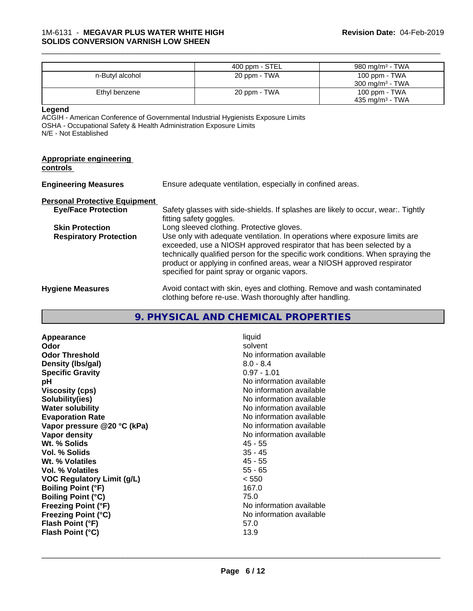|                                                                                                       | 400 ppm - STEL                                                                                                                                                                                                                                                                                                                                                      | 980 mg/m <sup>3</sup> - TWA |
|-------------------------------------------------------------------------------------------------------|---------------------------------------------------------------------------------------------------------------------------------------------------------------------------------------------------------------------------------------------------------------------------------------------------------------------------------------------------------------------|-----------------------------|
| n-Butyl alcohol                                                                                       | 20 ppm - TWA                                                                                                                                                                                                                                                                                                                                                        | 100 ppm - TWA               |
|                                                                                                       |                                                                                                                                                                                                                                                                                                                                                                     | 300 mg/m <sup>3</sup> - TWA |
| Ethyl benzene                                                                                         | 20 ppm - TWA                                                                                                                                                                                                                                                                                                                                                        | 100 ppm - TWA               |
|                                                                                                       |                                                                                                                                                                                                                                                                                                                                                                     | 435 mg/m <sup>3</sup> - TWA |
| Legend<br>OSHA - Occupational Safety & Health Administration Exposure Limits<br>N/E - Not Established | ACGIH - American Conference of Governmental Industrial Hygienists Exposure Limits                                                                                                                                                                                                                                                                                   |                             |
| <b>Appropriate engineering</b><br><u>controls</u>                                                     |                                                                                                                                                                                                                                                                                                                                                                     |                             |
| <b>Engineering Measures</b>                                                                           | Ensure adequate ventilation, especially in confined areas.                                                                                                                                                                                                                                                                                                          |                             |
| <b>Personal Protective Equipment</b>                                                                  |                                                                                                                                                                                                                                                                                                                                                                     |                             |
| <b>Eye/Face Protection</b>                                                                            | Safety glasses with side-shields. If splashes are likely to occur, wear:. Tightly<br>fitting safety goggles.                                                                                                                                                                                                                                                        |                             |
| <b>Skin Protection</b>                                                                                | Long sleeved clothing. Protective gloves.                                                                                                                                                                                                                                                                                                                           |                             |
| <b>Respiratory Protection</b>                                                                         | Use only with adequate ventilation. In operations where exposure limits are<br>exceeded, use a NIOSH approved respirator that has been selected by a<br>technically qualified person for the specific work conditions. When spraying the<br>product or applying in confined areas, wear a NIOSH approved respirator<br>specified for paint spray or organic vapors. |                             |
| <b>Hygiene Measures</b>                                                                               | Avoid contact with skin, eyes and clothing. Remove and wash contaminated                                                                                                                                                                                                                                                                                            |                             |

clothing before re-use. Wash thoroughly after handling.

# **9. PHYSICAL AND CHEMICAL PROPERTIES**

| Appearance<br>Odor<br><b>Odor Threshold</b><br>Density (Ibs/gal)<br><b>Specific Gravity</b><br>рH<br><b>Viscosity (cps)</b><br>Solubility(ies)<br><b>Water solubility</b><br><b>Evaporation Rate</b><br>Vapor pressure @20 °C (kPa)<br>Vapor density<br>Wt. % Solids<br>Vol. % Solids<br>Wt. % Volatiles<br>Vol. % Volatiles<br><b>VOC Regulatory Limit (g/L)</b><br><b>Boiling Point (°F)</b><br><b>Boiling Point (°C)</b><br><b>Freezing Point (°F)</b> | liquid<br>solvent<br>No information available<br>$8.0 - 8.4$<br>$0.97 - 1.01$<br>No information available<br>No information available<br>No information available<br>No information available<br>No information available<br>No information available<br>No information available<br>45 - 55<br>35 - 45<br>$45 - 55$<br>$55 - 65$<br>< 550<br>167.0<br>75.0<br>No information available<br>No information available |
|-----------------------------------------------------------------------------------------------------------------------------------------------------------------------------------------------------------------------------------------------------------------------------------------------------------------------------------------------------------------------------------------------------------------------------------------------------------|---------------------------------------------------------------------------------------------------------------------------------------------------------------------------------------------------------------------------------------------------------------------------------------------------------------------------------------------------------------------------------------------------------------------|
| <b>Freezing Point (°C)</b><br>Flash Point (°F)<br>Flash Point (°C)                                                                                                                                                                                                                                                                                                                                                                                        | 57.0<br>13.9                                                                                                                                                                                                                                                                                                                                                                                                        |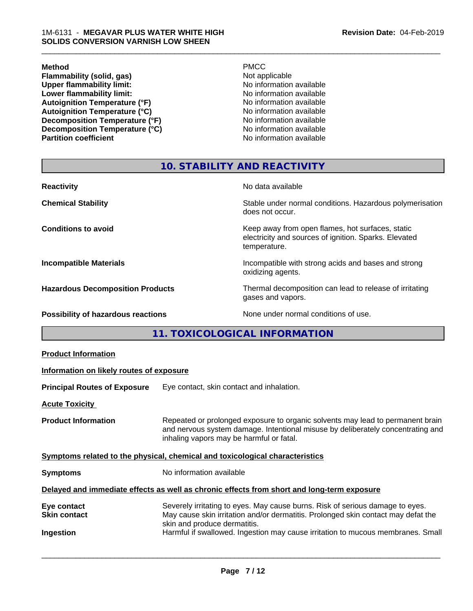#### **Method** PMCC

**Flammability (solid, gas)**<br> **Commability limit:**<br>
Upper flammability limit:<br>
No information available **Upper flammability limit:**<br> **Lower flammability limit:**<br>
No information available<br>
No information available **Lower flammability limit:**<br> **Autoignition Temperature (°F)**<br>
No information available<br>
No information available Autoignition Temperature (°F)<br>
Autoignition Temperature (°C)<br>
No information available **Autoignition Temperature (°C) Decomposition Temperature (°F)**<br> **Decomposition Temperature (°C)** No information available<br>
No information available **Decomposition Temperature (°C)**<br>Partition coefficient

**No information available** 

\_\_\_\_\_\_\_\_\_\_\_\_\_\_\_\_\_\_\_\_\_\_\_\_\_\_\_\_\_\_\_\_\_\_\_\_\_\_\_\_\_\_\_\_\_\_\_\_\_\_\_\_\_\_\_\_\_\_\_\_\_\_\_\_\_\_\_\_\_\_\_\_\_\_\_\_\_\_\_\_\_\_\_\_\_\_\_\_\_\_\_\_\_

# **10. STABILITY AND REACTIVITY**

| <b>Reactivity</b>                       | No data available                                                                                                         |
|-----------------------------------------|---------------------------------------------------------------------------------------------------------------------------|
| <b>Chemical Stability</b>               | Stable under normal conditions. Hazardous polymerisation<br>does not occur.                                               |
| <b>Conditions to avoid</b>              | Keep away from open flames, hot surfaces, static<br>electricity and sources of ignition. Sparks. Elevated<br>temperature. |
| <b>Incompatible Materials</b>           | Incompatible with strong acids and bases and strong<br>oxidizing agents.                                                  |
| <b>Hazardous Decomposition Products</b> | Thermal decomposition can lead to release of irritating<br>gases and vapors.                                              |
| Possibility of hazardous reactions      | None under normal conditions of use.                                                                                      |

**11. TOXICOLOGICAL INFORMATION**

| <b>Product Information</b>                                                                 |                                                                                                                                                                                                               |  |
|--------------------------------------------------------------------------------------------|---------------------------------------------------------------------------------------------------------------------------------------------------------------------------------------------------------------|--|
| Information on likely routes of exposure                                                   |                                                                                                                                                                                                               |  |
| <b>Principal Routes of Exposure</b>                                                        | Eye contact, skin contact and inhalation.                                                                                                                                                                     |  |
| <b>Acute Toxicity</b>                                                                      |                                                                                                                                                                                                               |  |
| <b>Product Information</b>                                                                 | Repeated or prolonged exposure to organic solvents may lead to permanent brain<br>and nervous system damage. Intentional misuse by deliberately concentrating and<br>inhaling vapors may be harmful or fatal. |  |
| Symptoms related to the physical, chemical and toxicological characteristics               |                                                                                                                                                                                                               |  |
| <b>Symptoms</b>                                                                            | No information available                                                                                                                                                                                      |  |
| Delayed and immediate effects as well as chronic effects from short and long-term exposure |                                                                                                                                                                                                               |  |
| Eye contact<br><b>Skin contact</b>                                                         | Severely irritating to eyes. May cause burns. Risk of serious damage to eyes.<br>May cause skin irritation and/or dermatitis. Prolonged skin contact may defat the<br>skin and produce dermatitis.            |  |
| Ingestion                                                                                  | Harmful if swallowed. Ingestion may cause irritation to mucous membranes. Small                                                                                                                               |  |
|                                                                                            |                                                                                                                                                                                                               |  |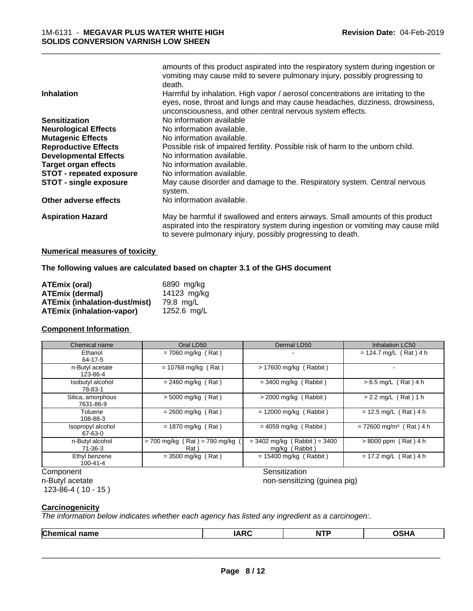| <b>Inhalation</b>               | amounts of this product aspirated into the respiratory system during ingestion or<br>vomiting may cause mild to severe pulmonary injury, possibly progressing to<br>death.<br>Harmful by inhalation. High vapor / aerosol concentrations are irritating to the<br>eyes, nose, throat and lungs and may cause headaches, dizziness, drowsiness, |
|---------------------------------|------------------------------------------------------------------------------------------------------------------------------------------------------------------------------------------------------------------------------------------------------------------------------------------------------------------------------------------------|
| <b>Sensitization</b>            | unconsciousness, and other central nervous system effects.<br>No information available                                                                                                                                                                                                                                                         |
| <b>Neurological Effects</b>     | No information available.                                                                                                                                                                                                                                                                                                                      |
| <b>Mutagenic Effects</b>        | No information available.                                                                                                                                                                                                                                                                                                                      |
| <b>Reproductive Effects</b>     | Possible risk of impaired fertility. Possible risk of harm to the unborn child.                                                                                                                                                                                                                                                                |
| <b>Developmental Effects</b>    | No information available.                                                                                                                                                                                                                                                                                                                      |
| <b>Target organ effects</b>     | No information available.                                                                                                                                                                                                                                                                                                                      |
| <b>STOT - repeated exposure</b> | No information available.                                                                                                                                                                                                                                                                                                                      |
| <b>STOT - single exposure</b>   | May cause disorder and damage to the. Respiratory system. Central nervous<br>system.                                                                                                                                                                                                                                                           |
| Other adverse effects           | No information available.                                                                                                                                                                                                                                                                                                                      |
| <b>Aspiration Hazard</b>        | May be harmful if swallowed and enters airways. Small amounts of this product<br>aspirated into the respiratory system during ingestion or vomiting may cause mild<br>to severe pulmonary injury, possibly progressing to death.                                                                                                               |
|                                 |                                                                                                                                                                                                                                                                                                                                                |

#### **Numerical measures of toxicity**

#### **The following values are calculated based on chapter 3.1 of the GHS document**

| ATEmix (oral)                        | 6890 mg/kg  |
|--------------------------------------|-------------|
| <b>ATEmix (dermal)</b>               | 14123 mg/kg |
| <b>ATEmix (inhalation-dust/mist)</b> | 79.8 ma/L   |
| <b>ATEmix (inhalation-vapor)</b>     | 1252.6 mg/L |

#### **Component Information**

| Chemical name                   | Oral LD50                              | Dermal LD50                                      | <b>Inhalation LC50</b>                |
|---------------------------------|----------------------------------------|--------------------------------------------------|---------------------------------------|
| Ethanol<br>64-17-5              | $= 7060$ mg/kg (Rat)                   |                                                  | $= 124.7$ mg/L (Rat) 4 h              |
| n-Butyl acetate<br>123-86-4     | $= 10768$ mg/kg (Rat)                  | > 17600 mg/kg (Rabbit)                           |                                       |
| Isobutyl alcohol<br>78-83-1     | $= 2460$ mg/kg (Rat)                   | $=$ 3400 mg/kg (Rabbit)                          | $> 6.5$ mg/L (Rat) 4 h                |
| Silica, amorphous<br>7631-86-9  | $> 5000$ mg/kg (Rat)                   | $>$ 2000 mg/kg (Rabbit)                          | $> 2.2$ mg/L (Rat) 1 h                |
| Toluene<br>108-88-3             | $= 2600$ mg/kg (Rat)                   | $= 12000$ mg/kg (Rabbit)                         | $= 12.5$ mg/L (Rat) 4 h               |
| Isopropyl alcohol<br>67-63-0    | $= 1870$ mg/kg (Rat)                   | $= 4059$ mg/kg (Rabbit)                          | $= 72600$ mg/m <sup>3</sup> (Rat) 4 h |
| n-Butyl alcohol<br>71-36-3      | $= 700$ mg/kg (Rat) = 790 mg/kg<br>Rat | $= 3402$ mg/kg (Rabbit) = 3400<br>mg/kg (Rabbit) | $> 8000$ ppm (Rat) 4 h                |
| Ethyl benzene<br>$100 - 41 - 4$ | $=$ 3500 mg/kg (Rat)                   | $= 15400$ mg/kg (Rabbit)                         | $= 17.2$ mg/L (Rat) 4 h               |
| Component                       |                                        | Sensitization                                    |                                       |

n-Butyl acetate

123-86-4 ( 10 - 15 )

 $\overline{\phantom{a}}$  ,  $\overline{\phantom{a}}$  ,  $\overline{\phantom{a}}$  ,  $\overline{\phantom{a}}$  ,  $\overline{\phantom{a}}$  ,  $\overline{\phantom{a}}$  ,  $\overline{\phantom{a}}$  ,  $\overline{\phantom{a}}$  ,  $\overline{\phantom{a}}$  ,  $\overline{\phantom{a}}$  ,  $\overline{\phantom{a}}$  ,  $\overline{\phantom{a}}$  ,  $\overline{\phantom{a}}$  ,  $\overline{\phantom{a}}$  ,  $\overline{\phantom{a}}$  ,  $\overline{\phantom{a}}$ 

non-sensitizing (guinea pig)

#### **Carcinogenicity**

*The information below indicateswhether each agency has listed any ingredient as a carcinogen:.*

|--|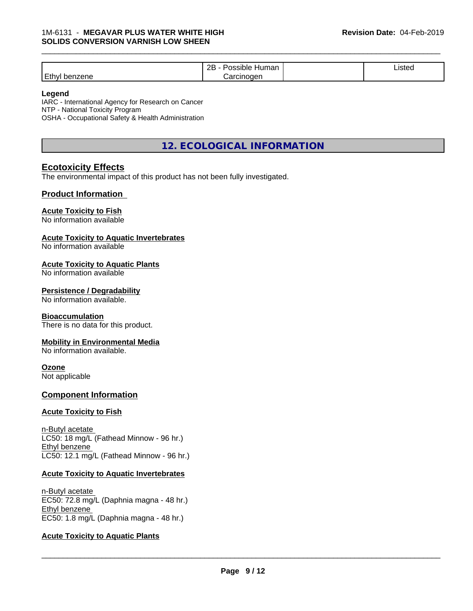|                           | ם מ<br>Humar<br><b>sible</b><br>.<br><br>∠∟ | . .<br>Listed |  |
|---------------------------|---------------------------------------------|---------------|--|
| Ethyl<br>2004ء<br>penzene | arcinoaen<br>$\overline{1}$                 |               |  |

#### **Legend**

IARC - International Agency for Research on Cancer NTP - National Toxicity Program OSHA - Occupational Safety & Health Administration

# **12. ECOLOGICAL INFORMATION**

## **Ecotoxicity Effects**

The environmental impact of this product has not been fully investigated.

#### **Product Information**

#### **Acute Toxicity to Fish**

No information available

#### **Acute Toxicity to Aquatic Invertebrates**

No information available

#### **Acute Toxicity to Aquatic Plants**

No information available

#### **Persistence / Degradability**

No information available.

#### **Bioaccumulation**

There is no data for this product.

#### **Mobility in Environmental Media**

No information available.

# **Ozone**

Not applicable

#### **Component Information**

#### **Acute Toxicity to Fish**

n-Butyl acetate LC50: 18 mg/L (Fathead Minnow - 96 hr.) Ethyl benzene LC50: 12.1 mg/L (Fathead Minnow - 96 hr.)

#### **Acute Toxicity to Aquatic Invertebrates**

n-Butyl acetate EC50: 72.8 mg/L (Daphnia magna - 48 hr.) Ethyl benzene EC50: 1.8 mg/L (Daphnia magna - 48 hr.)

#### **Acute Toxicity to Aquatic Plants**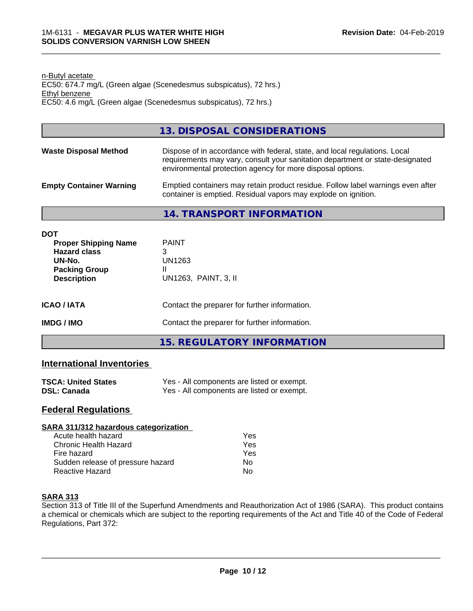n-Butyl acetate EC50: 674.7 mg/L (Green algae (Scenedesmus subspicatus), 72 hrs.) Ethyl benzene EC50: 4.6 mg/L (Green algae (Scenedesmus subspicatus), 72 hrs.)

# **13. DISPOSAL CONSIDERATIONS**

- **Waste Disposal Method** Dispose of in accordance with federal, state, and local regulations. Local requirements may vary, consult your sanitation department or state-designated environmental protection agency for more disposal options.
- **Empty Container Warning** Emptied containers may retain product residue. Follow label warnings even after container is emptied. Residual vapors may explode on ignition.

#### **14. TRANSPORT INFORMATION**

| <b>DOT</b><br><b>Proper Shipping Name</b><br><b>Hazard class</b><br>UN-No.<br><b>Packing Group</b><br><b>Description</b> | <b>PAINT</b><br>3<br>UN1263<br>Ш<br>UN1263, PAINT, 3, II |  |
|--------------------------------------------------------------------------------------------------------------------------|----------------------------------------------------------|--|
| <b>ICAO/IATA</b>                                                                                                         | Contact the preparer for further information.            |  |
| <b>IMDG/IMO</b>                                                                                                          | Contact the preparer for further information.            |  |
|                                                                                                                          | 15. REGULATORY INFORMATION                               |  |

## **International Inventories**

| <b>TSCA: United States</b> | Yes - All components are listed or exempt. |
|----------------------------|--------------------------------------------|
| <b>DSL: Canada</b>         | Yes - All components are listed or exempt. |

## **Federal Regulations**

| SARA 311/312 hazardous categorization |     |  |
|---------------------------------------|-----|--|
| Acute health hazard                   | Yes |  |
| Chronic Health Hazard                 | Yes |  |
| Fire hazard                           | Yes |  |
| Sudden release of pressure hazard     | Nο  |  |
| <b>Reactive Hazard</b>                | No  |  |

## **SARA 313**

Section 313 of Title III of the Superfund Amendments and Reauthorization Act of 1986 (SARA). This product contains a chemical or chemicals which are subject to the reporting requirements of the Act and Title 40 of the Code of Federal Regulations, Part 372: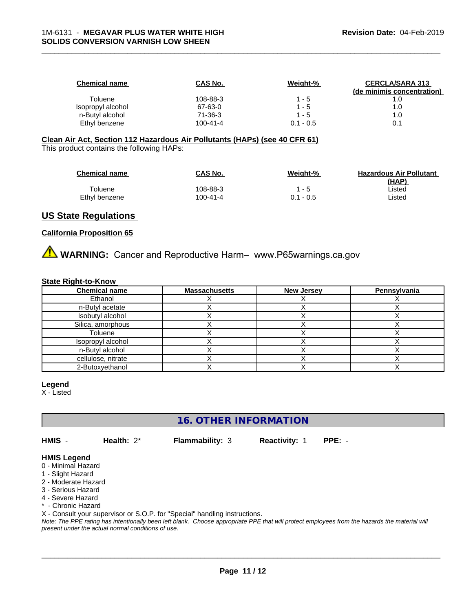| <b>Chemical name</b> | CAS No.  | Weight-%    | <b>CERCLA/SARA 313</b>     |
|----------------------|----------|-------------|----------------------------|
|                      |          |             | (de minimis concentration) |
| Toluene              | 108-88-3 | 1 - 5       |                            |
| Isopropyl alcohol    | 67-63-0  | $1 - 5$     | 1.0                        |
| n-Butyl alcohol      | 71-36-3  | $1 - 5$     | 1.0                        |
| Ethyl benzene        | 100-41-4 | $0.1 - 0.5$ |                            |

**Clean Air Act,Section 112 Hazardous Air Pollutants (HAPs) (see 40 CFR 61)** This product contains the following HAPs:

| <b>Chemical name</b> | <b>CAS No.</b> | Weight-%  | <b>Hazardous Air Pollutant</b> |
|----------------------|----------------|-----------|--------------------------------|
|                      |                |           | (HAP)                          |
| Toluene              | 108-88-3       | 1 - 5     | ∟isted                         |
| Ethyl benzene        | 100-41-4       | 0.1 - 0.5 | Listed                         |

# **US State Regulations**

#### **California Proposition 65**

**AVIMARNING:** Cancer and Reproductive Harm– www.P65warnings.ca.gov

#### **State Right-to-Know**

| <b>Chemical name</b> | <b>Massachusetts</b> | <b>New Jersey</b> | Pennsylvania |
|----------------------|----------------------|-------------------|--------------|
| Ethanol              |                      |                   |              |
| n-Butyl acetate      |                      |                   |              |
| Isobutyl alcohol     |                      |                   |              |
| Silica, amorphous    |                      |                   |              |
| Toluene              |                      |                   |              |
| Isopropyl alcohol    |                      |                   |              |
| n-Butyl alcohol      |                      |                   |              |
| cellulose, nitrate   |                      |                   |              |
| 2-Butoxyethanol      |                      |                   |              |

#### **Legend**

X - Listed

**16. OTHER INFORMATION**

**HMIS** - **Health:** 2\* **Flammability:** 3 **Reactivity:** 1 **PPE:** -

 $\overline{\phantom{a}}$  ,  $\overline{\phantom{a}}$  ,  $\overline{\phantom{a}}$  ,  $\overline{\phantom{a}}$  ,  $\overline{\phantom{a}}$  ,  $\overline{\phantom{a}}$  ,  $\overline{\phantom{a}}$  ,  $\overline{\phantom{a}}$  ,  $\overline{\phantom{a}}$  ,  $\overline{\phantom{a}}$  ,  $\overline{\phantom{a}}$  ,  $\overline{\phantom{a}}$  ,  $\overline{\phantom{a}}$  ,  $\overline{\phantom{a}}$  ,  $\overline{\phantom{a}}$  ,  $\overline{\phantom{a}}$ 

# **HMIS Legend**

- 0 Minimal Hazard
- 1 Slight Hazard
- 2 Moderate Hazard
- 3 Serious Hazard
- 4 Severe Hazard
- \* Chronic Hazard

X - Consult your supervisor or S.O.P. for "Special" handling instructions.

*Note: The PPE rating has intentionally been left blank. Choose appropriate PPE that will protect employees from the hazards the material will present under the actual normal conditions of use.*